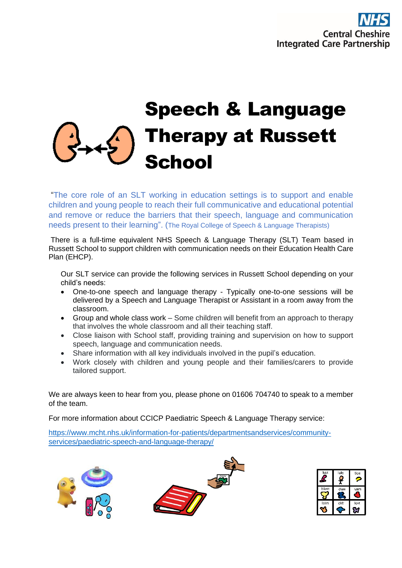# Speech & Language Therapy at Russett School

"The core role of an SLT working in education settings is to support and enable children and young people to reach their full communicative and educational potential and remove or reduce the barriers that their speech, language and communication needs present to their learning". (The Royal College of Speech & Language Therapists)

There is a full-time equivalent NHS Speech & Language Therapy (SLT) Team based in Russett School to support children with communication needs on their Education Health Care Plan (EHCP).

Our SLT service can provide the following services in Russett School depending on your child's needs:

- One-to-one speech and language therapy Typically one-to-one sessions will be delivered by a Speech and Language Therapist or Assistant in a room away from the classroom.
- Group and whole class work Some children will benefit from an approach to therapy that involves the whole classroom and all their teaching staff.
- Close liaison with School staff, providing training and supervision on how to support speech, language and communication needs.
- Share information with all key individuals involved in the pupil's education.
- Work closely with children and young people and their families/carers to provide tailored support.

We are always keen to hear from you, please phone on 01606 704740 to speak to a member of the team.

For more information about CCICP Paediatric Speech & Language Therapy service:

[https://www.mcht.nhs.uk/information-for-patients/departmentsandservices/community](https://www.mcht.nhs.uk/information-for-patients/departmentsandservices/community-services/paediatric-speech-and-language-therapy/)[services/paediatric-speech-and-language-therapy/](https://www.mcht.nhs.uk/information-for-patients/departmentsandservices/community-services/paediatric-speech-and-language-therapy/)